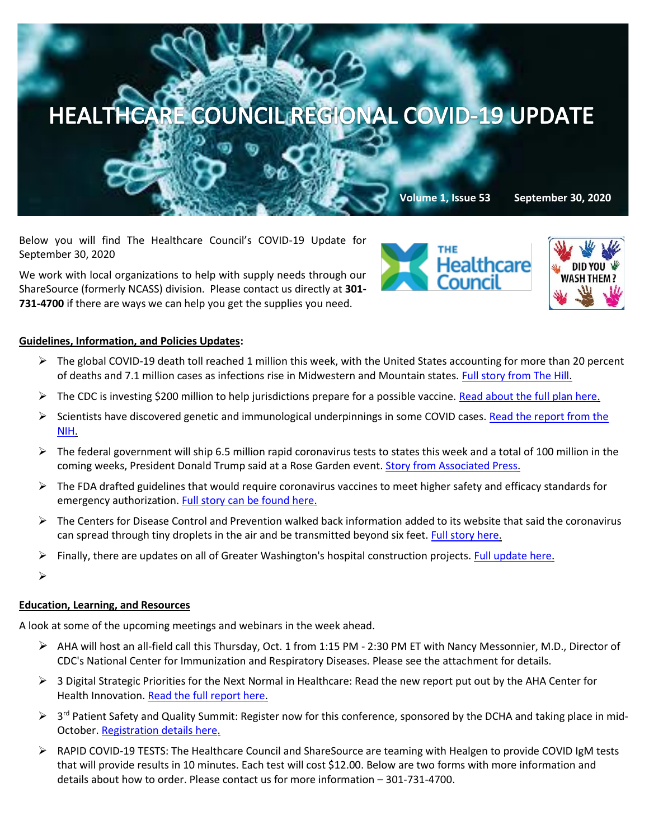

Below you will find The Healthcare Council's COVID-19 Update for September 30, 2020

We work with local organizations to help with supply needs through our ShareSource (formerly NCASS) division. Please contact us directly at **301- 731-4700** if there are ways we can help you get the supplies you need.





## **Guidelines, Information, and Policies Updates:**

- $\triangleright$  The global COVID-19 death toll reached 1 million this week, with the United States accounting for more than 20 percent of deaths and 7.1 million cases as infections rise in Midwestern and Mountain states. [Full story from The Hill.](https://thehill.com/policy/healthcare/518520-global-coronavirus-death-toll-passes-1-million?mkt_tok=eyJpIjoiWVRjNE1USmxOMlppTXpSaCIsInQiOiJnRnJXeUdCWW1obXE5YnVydkpYendlZzRUa1p1K3RsbkxlaFd6MWZMVHdLU3RtMWFrSllaMDMzdVBDNXBnZWZIaVR6VTJ0TFdlMEU5S1wvUzR4YXdQNkVGaVg2aUtDWjZyYnFOXC9QUEM2SzAxSk9Qb1ZcL2JBNHhzT0loOEs1dTJCTyJ9)
- $\triangleright$  The CDC is investing \$200 million to help jurisdictions prepare for a possible vaccine. [Read about the full plan here.](https://www.cdc.gov/media/releases/2020/p0924-200-million-jurisdictions-covid-19-preparedness.html?ACSTrackingID=USCDC_1_3-DM38974&ACSTrackingLabel=CDC%20Newsroom:%20Week%20In%20Review%20-%2009/21/20&deliveryName=USCDC_1_3-DM38974)
- $\triangleright$  Scientists have discovered genetic and immunological underpinnings in some COVID cases. Read the report from the [NIH.](https://www.nih.gov/news-events/news-releases/scientists-discover-genetic-immunologic-underpinnings-some-cases-severe-covid-19)
- $\triangleright$  The federal government will ship 6.5 million rapid coronavirus tests to states this week and a total of 100 million in the coming weeks, President Donald Trump said at a Rose Garden event. [Story from Associated Press.](https://apnews.com/article/election-2020-virus-outbreak-donald-trump-archive-elections-7ad94115ac126ce1eb7a38bee6c5eedf?mkt_tok=eyJpIjoiWVRjNE1USmxOMlppTXpSaCIsInQiOiJnRnJXeUdCWW1obXE5YnVydkpYendlZzRUa1p1K3RsbkxlaFd6MWZMVHdLU3RtMWFrSllaMDMzdVBDNXBnZWZIaVR6VTJ0TFdlMEU5S1wvUzR4YXdQNkVGaVg2aUtDWjZyYnFOXC9QUEM2SzAxSk9Qb1ZcL2JBNHhzT0loOEs1dTJCTyJ9)
- $\triangleright$  The FDA drafted guidelines that would require coronavirus vaccines to meet higher safety and efficacy standards for emergency authorization[. Full story can be found here.](https://www.nytimes.com/2020/09/23/us/politics/coronavirus-science.html?mkt_tok=eyJpIjoiT0dZd1ptVmpZV05qT0dKbCIsInQiOiJrTEJ3NU9hWWo5WDZIY0N1cEZvYk80VXdCXC9cL2lyVERnTXVYNzdBVzY5Q1V6cDk5VEJqQ084VU5jelVNM2Jaam9XUVFHS1VRbkFrTHZ1b2piU2s2SktaOG8xK25FdlAwS1R3c2FRQ01uOURsY0JtWFNXanBqdVpZWjR4a2h5dUtaIn0=)
- $\triangleright$  The Centers for Disease Control and Prevention walked back information added to its website that said the coronavirus can spread through tiny droplets in the air and be transmitted beyond six feet[. Full story here.](https://www.wsj.com/articles/coronavirus-can-spread-by-tiny-air-particles-cdc-now-says-11600700364?mkt_tok=eyJpIjoiT0dZd1ptVmpZV05qT0dKbCIsInQiOiJrTEJ3NU9hWWo5WDZIY0N1cEZvYk80VXdCXC9cL2lyVERnTXVYNzdBVzY5Q1V6cDk5VEJqQ084VU5jelVNM2Jaam9XUVFHS1VRbkFrTHZ1b2piU2s2SktaOG8xK25FdlAwS1R3c2FRQ01uOURsY0JtWFNXanBqdVpZWjR4a2h5dUtaIn0=)
- $\triangleright$  Finally, there are updates on all of Greater Washington's hospital construction projects. [Full update here.](https://www.bizjournals.com/washington/news/2020/09/17/greater-washington-hospital-construction.html?ana=e_wash_bn_exclusive_exclusive&j=90530086&t=Breaking%20News&mkt_tok=eyJpIjoiT0dOa1pUSmhZbUV3WXpFNSIsInQiOiJZOVA3c1NUNVNRakhuWWVXK043MmJidHZcL0c0bzBaT2FwU0JsRUhcL2ViNEdIXC9RSzB4MENUTHlIVUJxTjlSU1JsZDRvVFlPSytTb2JFZUZrVUlqZ0FTSDBvcXlLd21PTXQwTlFuMXhKOHBYdkhcL1N1VlBrMERmOExjdTdpcGZoQUszRXlhbFdxVDBZcEdWOXdYeFNKRmxnPT0ifQ==)
- ➢

## **Education, Learning, and Resources**

A look at some of the upcoming meetings and webinars in the week ahead.

- ➢ AHA will host an all-field call this Thursday, Oct. 1 from 1:15 PM 2:30 PM ET with Nancy Messonnier, M.D., Director of CDC's National Center for Immunization and Respiratory Diseases. Please see the attachment for details.
- $\triangleright$  3 Digital Strategic Priorities for the Next Normal in Healthcare: Read the new report put out by the AHA Center for Health Innovation[. Read the full report here.](https://www.aha.org/aha-center-health-innovation-market-scan/2020-09-29-3-digital-strategic-priorities-next-normal)
- > 3<sup>rd</sup> Patient Safety and Quality Summit: Register now for this conference, sponsored by the DCHA and taking place in mid-October. [Registration details here.](https://www.dcha.org/education-events/summit)
- ➢ RAPID COVID-19 TESTS: The Healthcare Council and ShareSource are teaming with Healgen to provide COVID IgM tests that will provide results in 10 minutes. Each test will cost \$12.00. Below are two forms with more information and details about how to order. Please contact us for more information – 301-731-4700.